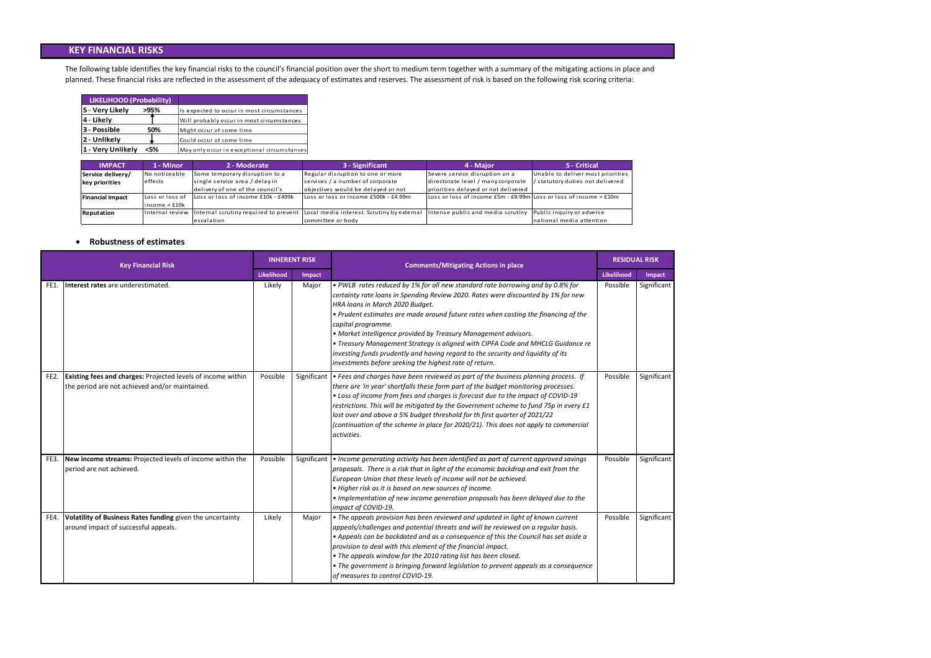#### **Robustness of estimates**

The following table identifies the key financial risks to the council's financial position over the short to medium term together with a summary of the mitigating actions in place and planned. These financial risks are reflected in the assessment of the adequacy of estimates and reserves. The assessment of risk is based on the following risk scoring criteria:

| LIKELIHOOD (Probability) |      |                                             |
|--------------------------|------|---------------------------------------------|
| 5 - Very Likely          | >95% | Is expected to occur in most circumstances  |
| 4 - Likely               |      | Will probably occur in most circumstances   |
| 3 - Possible             | 50%  | Might occur at some time                    |
| 2 - Unlikely             |      | Could occur at some time                    |
| 1 - Very Unlikely        | <5%  | May only occur in exceptional circumstances |

| <b>Key Financial Risk</b> |                                                                                                                       | <b>INHERENT RISK</b> |             | <b>Comments/Mitigating Actions in place</b>                                                                                                                                                                                                                                                                                                                                                                                                                                                                                                                                                                            | <b>RESIDUAL RISK</b> |             |
|---------------------------|-----------------------------------------------------------------------------------------------------------------------|----------------------|-------------|------------------------------------------------------------------------------------------------------------------------------------------------------------------------------------------------------------------------------------------------------------------------------------------------------------------------------------------------------------------------------------------------------------------------------------------------------------------------------------------------------------------------------------------------------------------------------------------------------------------------|----------------------|-------------|
|                           |                                                                                                                       | <b>Likelihood</b>    | Impact      |                                                                                                                                                                                                                                                                                                                                                                                                                                                                                                                                                                                                                        |                      | Impact      |
| FE1.                      | Interest rates are underestimated.                                                                                    | Likely               | Major       | • PWLB rates reduced by 1% for all new standard rate borrowing and by 0.8% for<br>certainty rate loans in Spending Review 2020. Rates were discounted by 1% for new<br>HRA loans in March 2020 Budget.<br>. Prudent estimates are made around future rates when costing the financing of the<br>capital programme.<br>• Market intelligence provided by Treasury Management advisors.<br>• Treasury Management Strategy is aligned with CIPFA Code and MHCLG Guidance re<br>investing funds prudently and having regard to the security and liquidity of its<br>investments before seeking the highest rate of return. | Possible             | Significant |
| FE2.                      | <b>Existing fees and charges: Projected levels of income within</b><br>the period are not achieved and/or maintained. | Possible             | Significant | • Fees and charges have been reviewed as part of the business planning process. If<br>there are 'in year' shortfalls these form part of the budget monitoring processes.<br>• Loss of income from fees and charges is forecast due to the impact of COVID-19<br>restrictions. This will be mitigated by the Government scheme to fund 75p in every £1<br>lost over and above a 5% budget threshold for th first quarter of 2021/22<br>(continuation of the scheme in place for 2020/21). This does not apply to commercial<br>activities.                                                                              | Possible             | Significant |
| FE3.                      | New income streams: Projected levels of income within the<br>period are not achieved.                                 | Possible             | Significant | • Income generating activity has been identified as part of current approved savings<br>proposals. There is a risk that in light of the economic backdrop and exit from the<br>European Union that these levels of income will not be achieved.<br>• Higher risk as it is based on new sources of income.<br>. Implementation of new income generation proposals has been delayed due to the<br>impact of COVID-19.                                                                                                                                                                                                    | Possible             | Significant |
| FE4.                      | Volatility of Business Rates funding given the uncertainty<br>around impact of successful appeals.                    | Likely               | Major       | • The appeals provision has been reviewed and updated in light of known current<br>appeals/challenges and potential threats and will be reviewed on a regular basis.<br>• Appeals can be backdated and as a consequence of this the Council has set aside a<br>provision to deal with this element of the financial impact.<br>• The appeals window for the 2010 rating list has been closed.<br>• The government is bringing forward legislation to prevent appeals as a consequence<br>of measures to control COVID-19.                                                                                              | Possible             | Significant |

riorities i ve re d

#### **KEY FINANCIAL RISKS**

| <b>IMPACT</b>           | 1 - Minor           | 2 - Moderate                        | 3 - Significant                                                                                  | 4 - Major                                                             | 5 - Critical                    |
|-------------------------|---------------------|-------------------------------------|--------------------------------------------------------------------------------------------------|-----------------------------------------------------------------------|---------------------------------|
| Service delivery/       | No noticeable       | Some temporary disruption to a      | Regular disruption to one or more                                                                | Severe service disruption on a                                        | Unable to deliver most priori!  |
| key priorities          | effects             | single service area / delay in      | services / a number of corporate                                                                 | directorate level / many corporate                                    | / statutory duties not delivere |
|                         |                     | delivery of one of the council's    | objectives would be delayed or not                                                               | priorities delayed or not delivered                                   |                                 |
| <b>Financial Impact</b> | Loss or loss of     | Loss or loss of income £10k - £499k | Loss or loss or income £500k - £4.99m                                                            | Loss or loss of income $£5m - £9.99m$ Loss or loss of income $> £10m$ |                                 |
|                         | $lineome <$ £10 $k$ |                                     |                                                                                                  |                                                                       |                                 |
| Reputation              |                     |                                     | Internal review Internal scrutiny required to prevent Local media interest. Scrutiny by external | Intense public and media scrutiny                                     | Public inquiry or adverse       |
|                         |                     | escalation                          | committee or body                                                                                |                                                                       | national media attention        |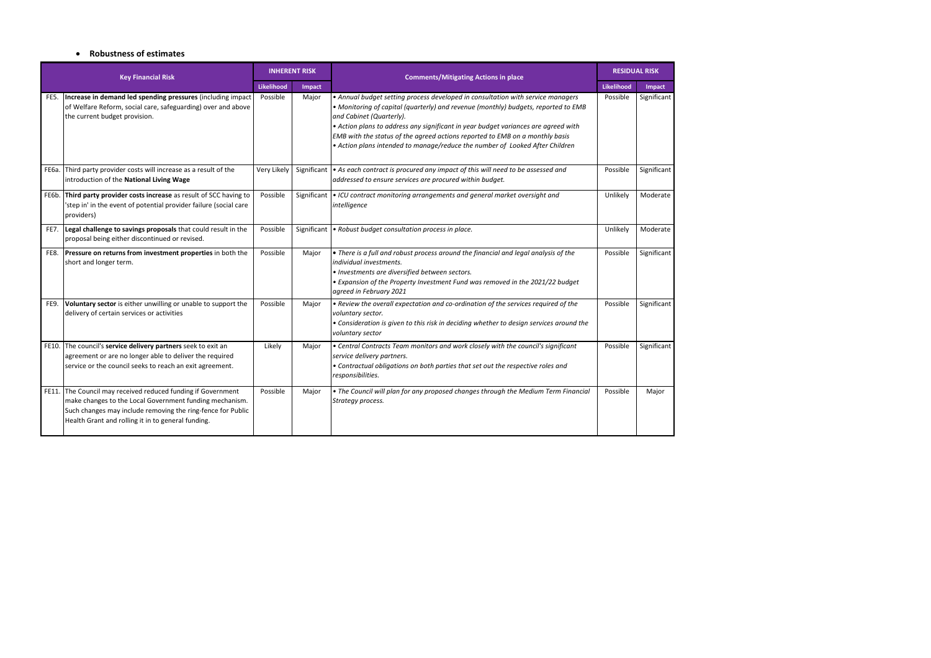#### **Robustness of estimates**

| <b>Key Financial Risk</b> |                                                                                                                                                                                                                                              | <b>INHERENT RISK</b> |             | <b>Comments/Mitigating Actions in place</b>                                                                                                                                                                                                                                                                                                                                                                                                             | <b>RESIDUAL RISK</b> |             |
|---------------------------|----------------------------------------------------------------------------------------------------------------------------------------------------------------------------------------------------------------------------------------------|----------------------|-------------|---------------------------------------------------------------------------------------------------------------------------------------------------------------------------------------------------------------------------------------------------------------------------------------------------------------------------------------------------------------------------------------------------------------------------------------------------------|----------------------|-------------|
|                           |                                                                                                                                                                                                                                              | Likelihood           | Impact      |                                                                                                                                                                                                                                                                                                                                                                                                                                                         | Likelihood           | Impact      |
| FE5.                      | Increase in demand led spending pressures (including impact<br>of Welfare Reform, social care, safeguarding) over and above<br>the current budget provision.                                                                                 | Possible             | Major       | • Annual budget setting process developed in consultation with service managers<br>. Monitoring of capital (quarterly) and revenue (monthly) budgets, reported to EMB<br>and Cabinet (Quarterly).<br>• Action plans to address any significant in year budget variances are agreed with<br>EMB with the status of the agreed actions reported to EMB on a monthly basis<br>• Action plans intended to manage/reduce the number of Looked After Children | Possible             | Significant |
| <b>FE6a.</b>              | Third party provider costs will increase as a result of the<br>introduction of the National Living Wage                                                                                                                                      | Very Likely          |             | Significant   • As each contract is procured any impact of this will need to be assessed and<br>addressed to ensure services are procured within budget.                                                                                                                                                                                                                                                                                                | Possible             | Significant |
| FE6b.                     | Third party provider costs increase as result of SCC having to<br>'step in' in the event of potential provider failure (social care<br>providers)                                                                                            | Possible             | Significant | • ICU contract monitoring arrangements and general market oversight and<br>intelligence                                                                                                                                                                                                                                                                                                                                                                 | Unlikely             | Moderate    |
| FE7.                      | Legal challenge to savings proposals that could result in the<br>proposal being either discontinued or revised.                                                                                                                              | Possible             | Significant | • Robust budget consultation process in place.                                                                                                                                                                                                                                                                                                                                                                                                          | Unlikely             | Moderate    |
| FE8.                      | Pressure on returns from investment properties in both the<br>short and longer term.                                                                                                                                                         | Possible             | Major       | • There is a full and robust process around the financial and legal analysis of the<br>individual investments.<br>· Investments are diversified between sectors.<br>• Expansion of the Property Investment Fund was removed in the 2021/22 budget<br>agreed in February 2021                                                                                                                                                                            | Possible             | Significant |
| FE9.                      | Voluntary sector is either unwilling or unable to support the<br>delivery of certain services or activities                                                                                                                                  | Possible             | Major       | . Review the overall expectation and co-ordination of the services required of the<br>voluntary sector.<br>• Consideration is given to this risk in deciding whether to design services around the<br>voluntary sector                                                                                                                                                                                                                                  | Possible             | Significant |
| FE10.                     | The council's service delivery partners seek to exit an<br>agreement or are no longer able to deliver the required<br>service or the council seeks to reach an exit agreement.                                                               | Likely               | Major       | • Central Contracts Team monitors and work closely with the council's significant<br>service delivery partners.<br>• Contractual obligations on both parties that set out the respective roles and<br>responsibilities.                                                                                                                                                                                                                                 | Possible             | Significant |
|                           | FE11. The Council may received reduced funding if Government<br>make changes to the Local Government funding mechanism.<br>Such changes may include removing the ring-fence for Public<br>Health Grant and rolling it in to general funding. | Possible             | Major       | . The Council will plan for any proposed changes through the Medium Term Financial<br>Strategy process.                                                                                                                                                                                                                                                                                                                                                 | Possible             | Major       |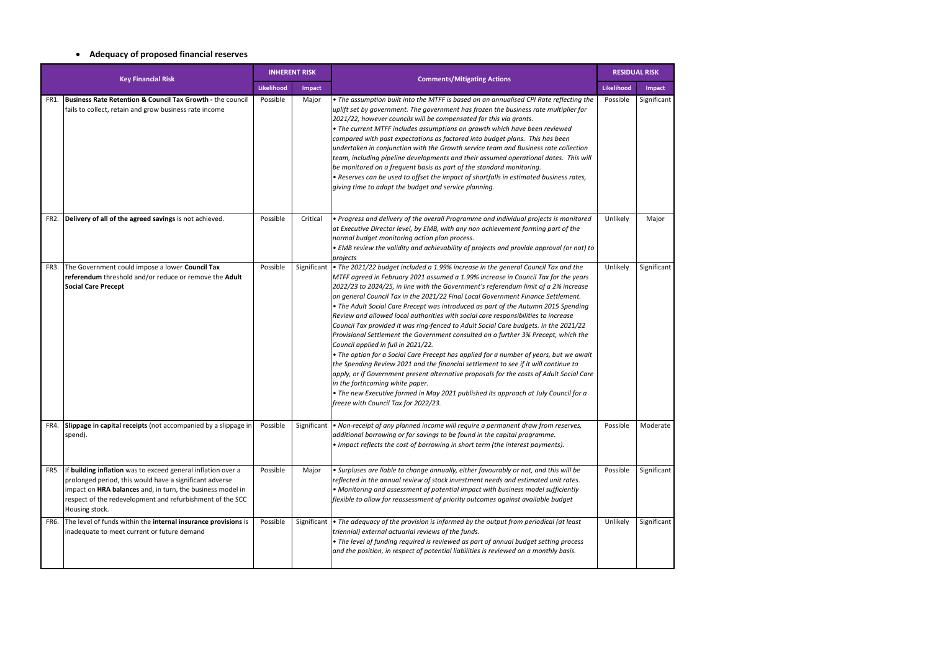# **Adequacy of proposed financial reserves**

| <b>Key Financial Risk</b> |                                                                                                                                                                                                                                                                      | <b>INHERENT RISK</b> |             | <b>Comments/Mitigating Actions</b>                                                                                                                                                                                                                                                                                                                                                                                                                                                                                                                                                                                                                                                                                                                                                                                                                                                                                                                                                                                                                                                                                                                                                                 | <b>RESIDUAL RISK</b> |             |
|---------------------------|----------------------------------------------------------------------------------------------------------------------------------------------------------------------------------------------------------------------------------------------------------------------|----------------------|-------------|----------------------------------------------------------------------------------------------------------------------------------------------------------------------------------------------------------------------------------------------------------------------------------------------------------------------------------------------------------------------------------------------------------------------------------------------------------------------------------------------------------------------------------------------------------------------------------------------------------------------------------------------------------------------------------------------------------------------------------------------------------------------------------------------------------------------------------------------------------------------------------------------------------------------------------------------------------------------------------------------------------------------------------------------------------------------------------------------------------------------------------------------------------------------------------------------------|----------------------|-------------|
|                           |                                                                                                                                                                                                                                                                      | Likelihood           | Impact      |                                                                                                                                                                                                                                                                                                                                                                                                                                                                                                                                                                                                                                                                                                                                                                                                                                                                                                                                                                                                                                                                                                                                                                                                    | Likelihood           | Impact      |
| FR1.                      | <b>Business Rate Retention &amp; Council Tax Growth - the council</b><br>fails to collect, retain and grow business rate income                                                                                                                                      | Possible             | Major       | . The assumption built into the MTFF is based on an annualised CPI Rate reflecting the<br>uplift set by government. The government has frozen the business rate multiplier for<br>2021/22, however councils will be compensated for this via grants.<br>• The current MTFF includes assumptions on growth which have been reviewed<br>compared with past expectations as factored into budget plans. This has been<br>undertaken in conjunction with the Growth service team and Business rate collection<br>team, including pipeline developments and their assumed operational dates. This will<br>be monitored on a frequent basis as part of the standard monitoring.<br>• Reserves can be used to offset the impact of shortfalls in estimated business rates,<br>giving time to adapt the budget and service planning.                                                                                                                                                                                                                                                                                                                                                                       | Possible             | Significant |
| FR <sub>2</sub>           | Delivery of all of the agreed savings is not achieved.                                                                                                                                                                                                               | Possible             | Critical    | • Progress and delivery of the overall Programme and individual projects is monitored<br>at Executive Director level, by EMB, with any non achievement forming part of the<br>normal budget monitoring action plan process.<br>• EMB review the validity and achievability of projects and provide approval (or not) to<br>projects                                                                                                                                                                                                                                                                                                                                                                                                                                                                                                                                                                                                                                                                                                                                                                                                                                                                | Unlikely             | Major       |
| FR3.                      | The Government could impose a lower Council Tax<br>referendum threshold and/or reduce or remove the Adult<br><b>Social Care Precept</b>                                                                                                                              | Possible             | Significant | . The 2021/22 budget included a 1.99% increase in the general Council Tax and the<br>MTFF agreed in February 2021 assumed a 1.99% increase in Council Tax for the years<br>2022/23 to 2024/25, in line with the Government's referendum limit of a 2% increase<br>on general Council Tax in the 2021/22 Final Local Government Finance Settlement.<br>• The Adult Social Care Precept was introduced as part of the Autumn 2015 Spending<br>Review and allowed local authorities with social care responsibilities to increase<br>Council Tax provided it was ring-fenced to Adult Social Care budgets. In the 2021/22<br>Provisional Settlement the Government consulted on a further 3% Precept, which the<br>Council applied in full in 2021/22.<br>• The option for a Social Care Precept has applied for a number of years, but we await<br>the Spending Review 2021 and the financial settlement to see if it will continue to<br>apply, or if Government present alternative proposals for the costs of Adult Social Care<br>in the forthcoming white paper.<br>• The new Executive formed in May 2021 published its approach at July Council for a<br>freeze with Council Tax for 2022/23. | Unlikely             | Significant |
| FR4.                      | Slippage in capital receipts (not accompanied by a slippage in<br>spend).                                                                                                                                                                                            | Possible             | Significant | • Non-receipt of any planned income will require a permanent draw from reserves,<br>additional borrowing or for savings to be found in the capital programme.<br>• Impact reflects the cost of borrowing in short term (the interest payments).                                                                                                                                                                                                                                                                                                                                                                                                                                                                                                                                                                                                                                                                                                                                                                                                                                                                                                                                                    | Possible             | Moderate    |
| FR5.                      | If building inflation was to exceed general inflation over a<br>prolonged period, this would have a significant adverse<br>impact on HRA balances and, in turn, the business model in<br>respect of the redevelopment and refurbishment of the SCC<br>Housing stock. | Possible             | Major       | • Surpluses are liable to change annually, either favourably or not, and this will be<br>reflected in the annual review of stock investment needs and estimated unit rates.<br>• Monitoring and assessment of potential impact with business model sufficiently<br>$f$ lexible to allow for reassessment of priority outcomes against available budget                                                                                                                                                                                                                                                                                                                                                                                                                                                                                                                                                                                                                                                                                                                                                                                                                                             | Possible             | Significant |
| FR6.                      | The level of funds within the internal insurance provisions is<br>inadequate to meet current or future demand                                                                                                                                                        | Possible             | Significant | • The adequacy of the provision is informed by the output from periodical (at least<br>triennial) external actuarial reviews of the funds.<br>• The level of funding required is reviewed as part of annual budget setting process<br>and the position, in respect of potential liabilities is reviewed on a monthly basis.                                                                                                                                                                                                                                                                                                                                                                                                                                                                                                                                                                                                                                                                                                                                                                                                                                                                        | Unlikely             | Significant |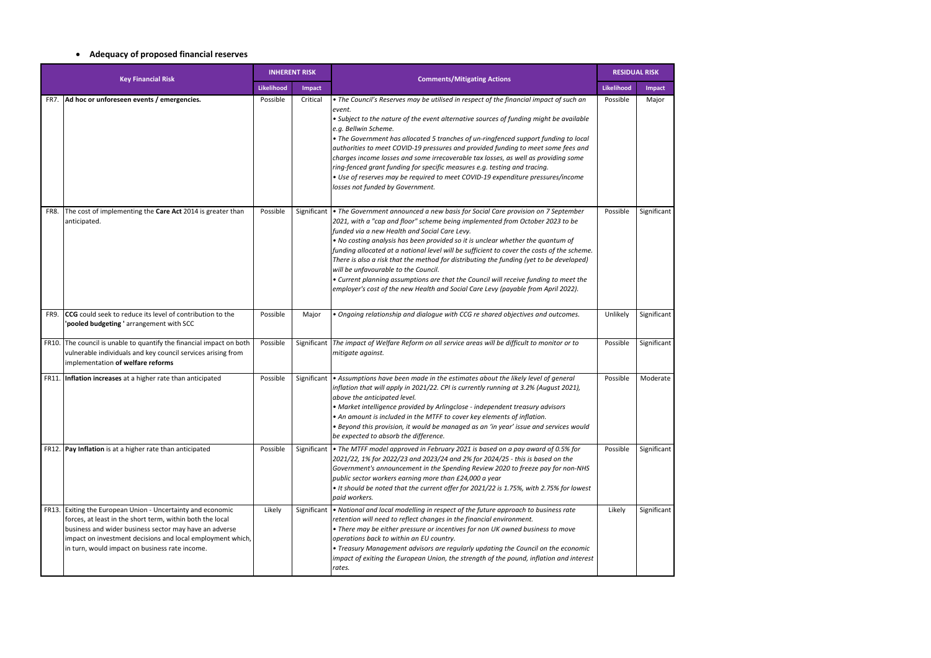# **Adequacy of proposed financial reserves**

| <b>Key Financial Risk</b> |                                                                                                                                                                                                                                                                                              | <b>INHERENT RISK</b> |             | <b>Comments/Mitigating Actions</b>                                                                                                                                                                                                                                                                                                                                                                                                                                                                                                                                                                                                                                                                                 | <b>RESIDUAL RISK</b> |               |
|---------------------------|----------------------------------------------------------------------------------------------------------------------------------------------------------------------------------------------------------------------------------------------------------------------------------------------|----------------------|-------------|--------------------------------------------------------------------------------------------------------------------------------------------------------------------------------------------------------------------------------------------------------------------------------------------------------------------------------------------------------------------------------------------------------------------------------------------------------------------------------------------------------------------------------------------------------------------------------------------------------------------------------------------------------------------------------------------------------------------|----------------------|---------------|
|                           |                                                                                                                                                                                                                                                                                              | Likelihood           | Impact      |                                                                                                                                                                                                                                                                                                                                                                                                                                                                                                                                                                                                                                                                                                                    | Likelihood           | <b>Impact</b> |
| FR7.                      | Ad hoc or unforeseen events / emergencies.                                                                                                                                                                                                                                                   | Possible             | Critical    | • The Council's Reserves may be utilised in respect of the financial impact of such an<br>event.<br>• Subject to the nature of the event alternative sources of funding might be available<br>e.g. Bellwin Scheme.<br>• The Government has allocated 5 tranches of un-ringfenced support funding to local<br>authorities to meet COVID-19 pressures and provided funding to meet some fees and<br>charges income losses and some irrecoverable tax losses, as well as providing some<br>ring-fenced grant funding for specific measures e.g. testing and tracing.<br>• Use of reserves may be required to meet COVID-19 expenditure pressures/income<br>losses not funded by Government.                           | Possible             | Major         |
| FR8.                      | The cost of implementing the Care Act 2014 is greater than<br>anticipated.                                                                                                                                                                                                                   | Possible             | Significant | • The Government announced a new basis for Social Care provision on 7 September<br>2021, with a "cap and floor" scheme being implemented from October 2023 to be<br>funded via a new Health and Social Care Levy.<br>. No costing analysis has been provided so it is unclear whether the quantum of<br>funding allocated at a national level will be sufficient to cover the costs of the scheme.<br>There is also a risk that the method for distributing the funding (yet to be developed)<br>will be unfavourable to the Council.<br>• Current planning assumptions are that the Council will receive funding to meet the<br>employer's cost of the new Health and Social Care Levy (payable from April 2022). | Possible             | Significant   |
| FR9.                      | <b>CCG</b> could seek to reduce its level of contribution to the<br>'pooled budgeting ' arrangement with SCC                                                                                                                                                                                 | Possible             | Major       | . Ongoing relationship and dialogue with CCG re shared objectives and outcomes.                                                                                                                                                                                                                                                                                                                                                                                                                                                                                                                                                                                                                                    | Unlikely             | Significant   |
| FR10.                     | The council is unable to quantify the financial impact on both<br>vulnerable individuals and key council services arising from<br>implementation of welfare reforms                                                                                                                          | Possible             |             | Significant The impact of Welfare Reform on all service areas will be difficult to monitor or to<br>mitigate against.                                                                                                                                                                                                                                                                                                                                                                                                                                                                                                                                                                                              | Possible             | Significant   |
|                           | FR11. Inflation increases at a higher rate than anticipated                                                                                                                                                                                                                                  | Possible             | Significant | • Assumptions have been made in the estimates about the likely level of general<br>inflation that will apply in 2021/22. CPI is currently running at 3.2% (August 2021),<br>above the anticipated level.<br>• Market intelligence provided by Arlingclose - independent treasury advisors<br>• An amount is included in the MTFF to cover key elements of inflation.<br>. Beyond this provision, it would be managed as an 'in year' issue and services would<br>be expected to absorb the difference.                                                                                                                                                                                                             | Possible             | Moderate      |
|                           | FR12. Pay Inflation is at a higher rate than anticipated                                                                                                                                                                                                                                     | Possible             |             | Significant $\bullet$ The MTFF model approved in February 2021 is based on a pay award of 0.5% for<br>2021/22, 1% for 2022/23 and 2023/24 and 2% for 2024/25 - this is based on the<br>Government's announcement in the Spending Review 2020 to freeze pay for non-NHS<br>public sector workers earning more than £24,000 a year<br>• It should be noted that the current offer for 2021/22 is 1.75%, with 2.75% for lowest<br>paid workers.                                                                                                                                                                                                                                                                       | Possible             | Significant   |
| <b>FR13</b>               | Exiting the European Union - Uncertainty and economic<br>forces, at least in the short term, within both the local<br>business and wider business sector may have an adverse<br>impact on investment decisions and local employment which,<br>in turn, would impact on business rate income. | Likely               | Significant | • National and local modelling in respect of the future approach to business rate<br>retention will need to reflect changes in the financial environment.<br>• There may be either pressure or incentives for non UK owned business to move<br>operations back to within an EU country.<br>• Treasury Management advisors are regularly updating the Council on the economic<br>impact of exiting the European Union, the strength of the pound, inflation and interest<br>rates.                                                                                                                                                                                                                                  | Likely               | Significant   |